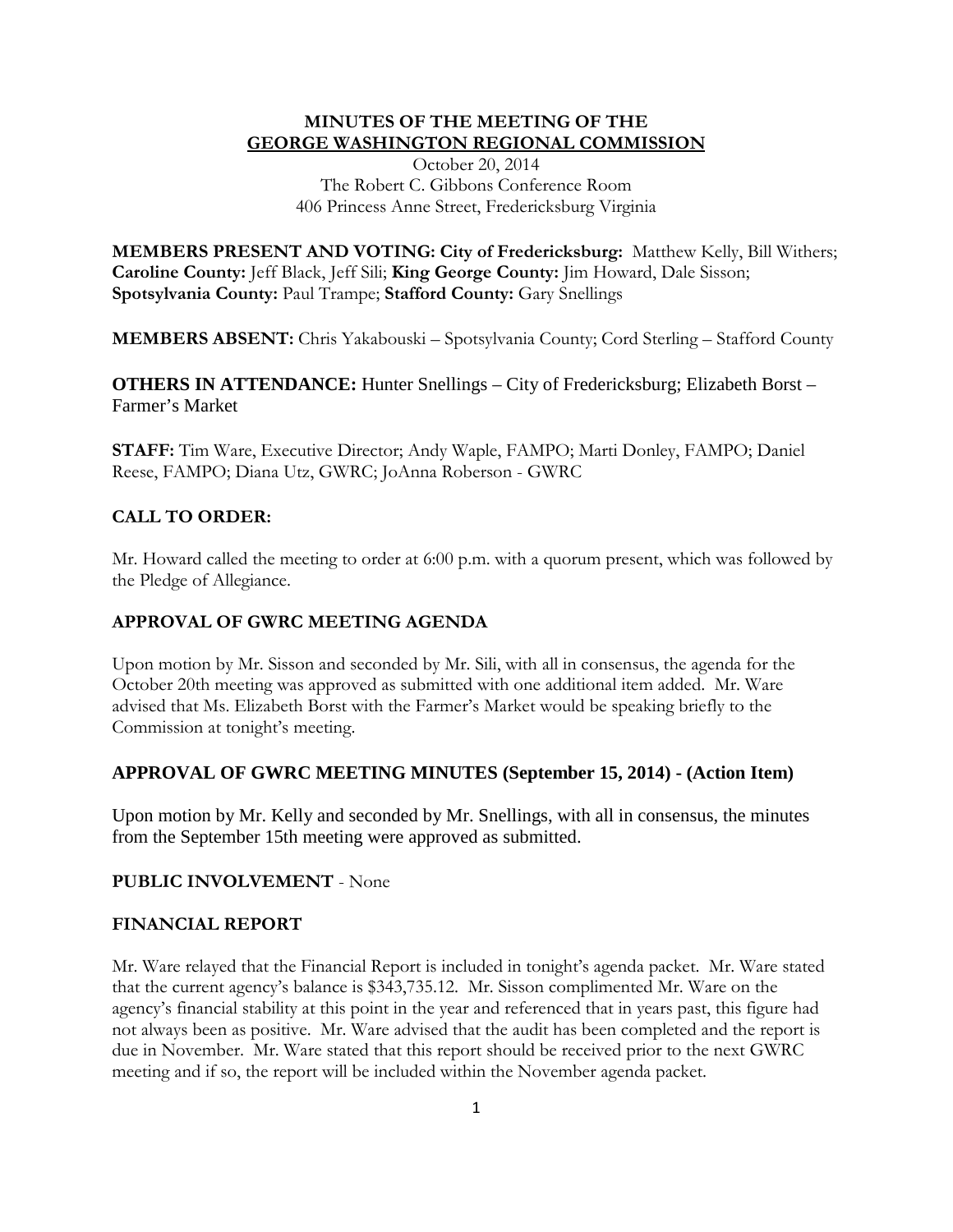## **MINUTES OF THE MEETING OF THE GEORGE WASHINGTON REGIONAL COMMISSION**

October 20, 2014 The Robert C. Gibbons Conference Room 406 Princess Anne Street, Fredericksburg Virginia

**MEMBERS PRESENT AND VOTING: City of Fredericksburg:** Matthew Kelly, Bill Withers; **Caroline County:** Jeff Black, Jeff Sili; **King George County:** Jim Howard, Dale Sisson; **Spotsylvania County:** Paul Trampe; **Stafford County:** Gary Snellings

**MEMBERS ABSENT:** Chris Yakabouski – Spotsylvania County; Cord Sterling – Stafford County

**OTHERS IN ATTENDANCE:** Hunter Snellings – City of Fredericksburg; Elizabeth Borst – Farmer's Market

**STAFF:** Tim Ware, Executive Director; Andy Waple, FAMPO; Marti Donley, FAMPO; Daniel Reese, FAMPO; Diana Utz, GWRC; JoAnna Roberson - GWRC

## **CALL TO ORDER:**

Mr. Howard called the meeting to order at 6:00 p.m. with a quorum present, which was followed by the Pledge of Allegiance.

#### **APPROVAL OF GWRC MEETING AGENDA**

Upon motion by Mr. Sisson and seconded by Mr. Sili, with all in consensus, the agenda for the October 20th meeting was approved as submitted with one additional item added. Mr. Ware advised that Ms. Elizabeth Borst with the Farmer's Market would be speaking briefly to the Commission at tonight's meeting.

#### **APPROVAL OF GWRC MEETING MINUTES (September 15, 2014) - (Action Item)**

Upon motion by Mr. Kelly and seconded by Mr. Snellings, with all in consensus, the minutes from the September 15th meeting were approved as submitted.

## **PUBLIC INVOLVEMENT** - None

#### **FINANCIAL REPORT**

Mr. Ware relayed that the Financial Report is included in tonight's agenda packet. Mr. Ware stated that the current agency's balance is \$343,735.12. Mr. Sisson complimented Mr. Ware on the agency's financial stability at this point in the year and referenced that in years past, this figure had not always been as positive. Mr. Ware advised that the audit has been completed and the report is due in November. Mr. Ware stated that this report should be received prior to the next GWRC meeting and if so, the report will be included within the November agenda packet.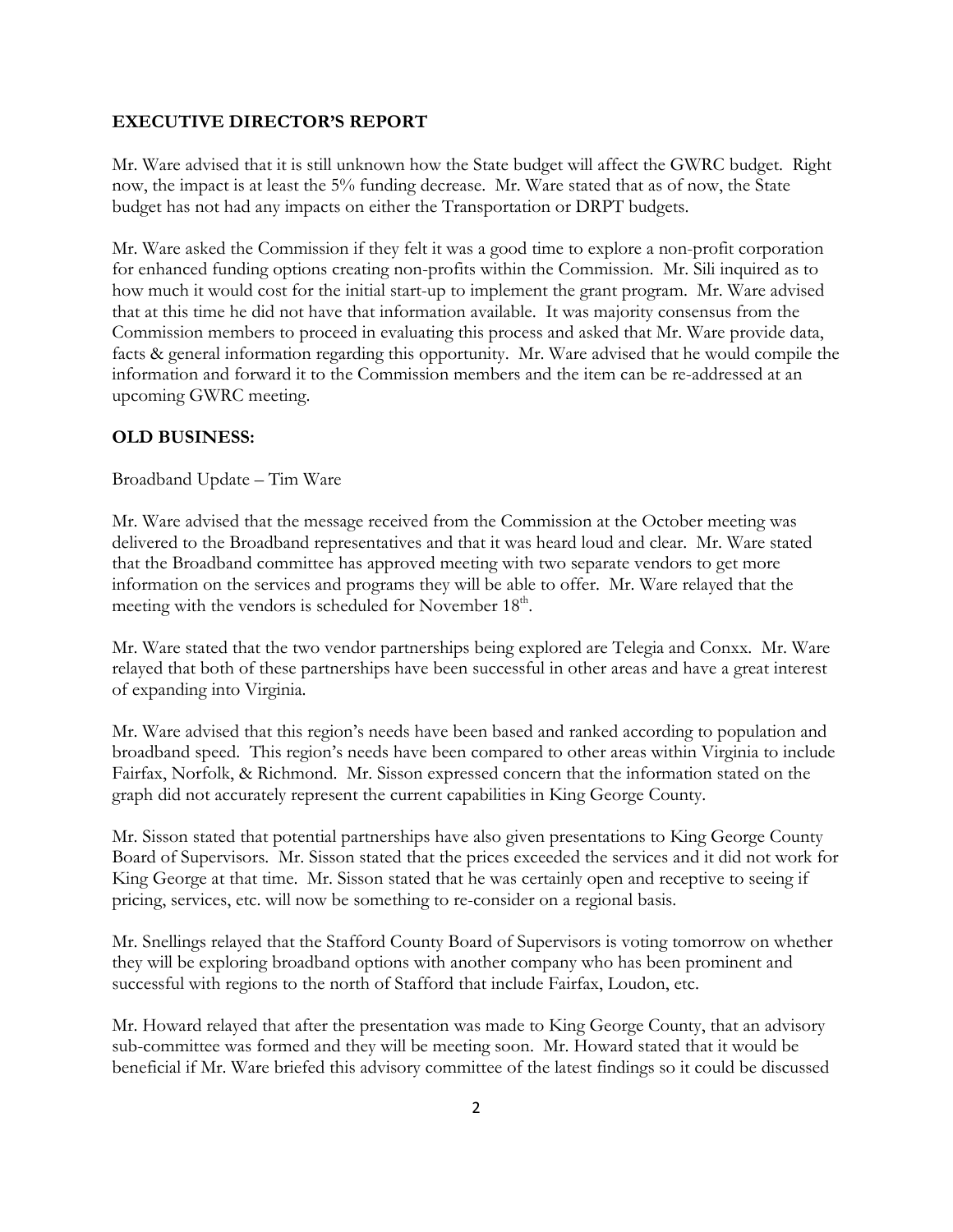#### **EXECUTIVE DIRECTOR'S REPORT**

Mr. Ware advised that it is still unknown how the State budget will affect the GWRC budget. Right now, the impact is at least the 5% funding decrease. Mr. Ware stated that as of now, the State budget has not had any impacts on either the Transportation or DRPT budgets.

Mr. Ware asked the Commission if they felt it was a good time to explore a non-profit corporation for enhanced funding options creating non-profits within the Commission. Mr. Sili inquired as to how much it would cost for the initial start-up to implement the grant program. Mr. Ware advised that at this time he did not have that information available. It was majority consensus from the Commission members to proceed in evaluating this process and asked that Mr. Ware provide data, facts & general information regarding this opportunity. Mr. Ware advised that he would compile the information and forward it to the Commission members and the item can be re-addressed at an upcoming GWRC meeting.

## **OLD BUSINESS:**

Broadband Update – Tim Ware

Mr. Ware advised that the message received from the Commission at the October meeting was delivered to the Broadband representatives and that it was heard loud and clear. Mr. Ware stated that the Broadband committee has approved meeting with two separate vendors to get more information on the services and programs they will be able to offer. Mr. Ware relayed that the meeting with the vendors is scheduled for November  $18<sup>th</sup>$ .

Mr. Ware stated that the two vendor partnerships being explored are Telegia and Conxx. Mr. Ware relayed that both of these partnerships have been successful in other areas and have a great interest of expanding into Virginia.

Mr. Ware advised that this region's needs have been based and ranked according to population and broadband speed. This region's needs have been compared to other areas within Virginia to include Fairfax, Norfolk, & Richmond. Mr. Sisson expressed concern that the information stated on the graph did not accurately represent the current capabilities in King George County.

Mr. Sisson stated that potential partnerships have also given presentations to King George County Board of Supervisors. Mr. Sisson stated that the prices exceeded the services and it did not work for King George at that time. Mr. Sisson stated that he was certainly open and receptive to seeing if pricing, services, etc. will now be something to re-consider on a regional basis.

Mr. Snellings relayed that the Stafford County Board of Supervisors is voting tomorrow on whether they will be exploring broadband options with another company who has been prominent and successful with regions to the north of Stafford that include Fairfax, Loudon, etc.

Mr. Howard relayed that after the presentation was made to King George County, that an advisory sub-committee was formed and they will be meeting soon. Mr. Howard stated that it would be beneficial if Mr. Ware briefed this advisory committee of the latest findings so it could be discussed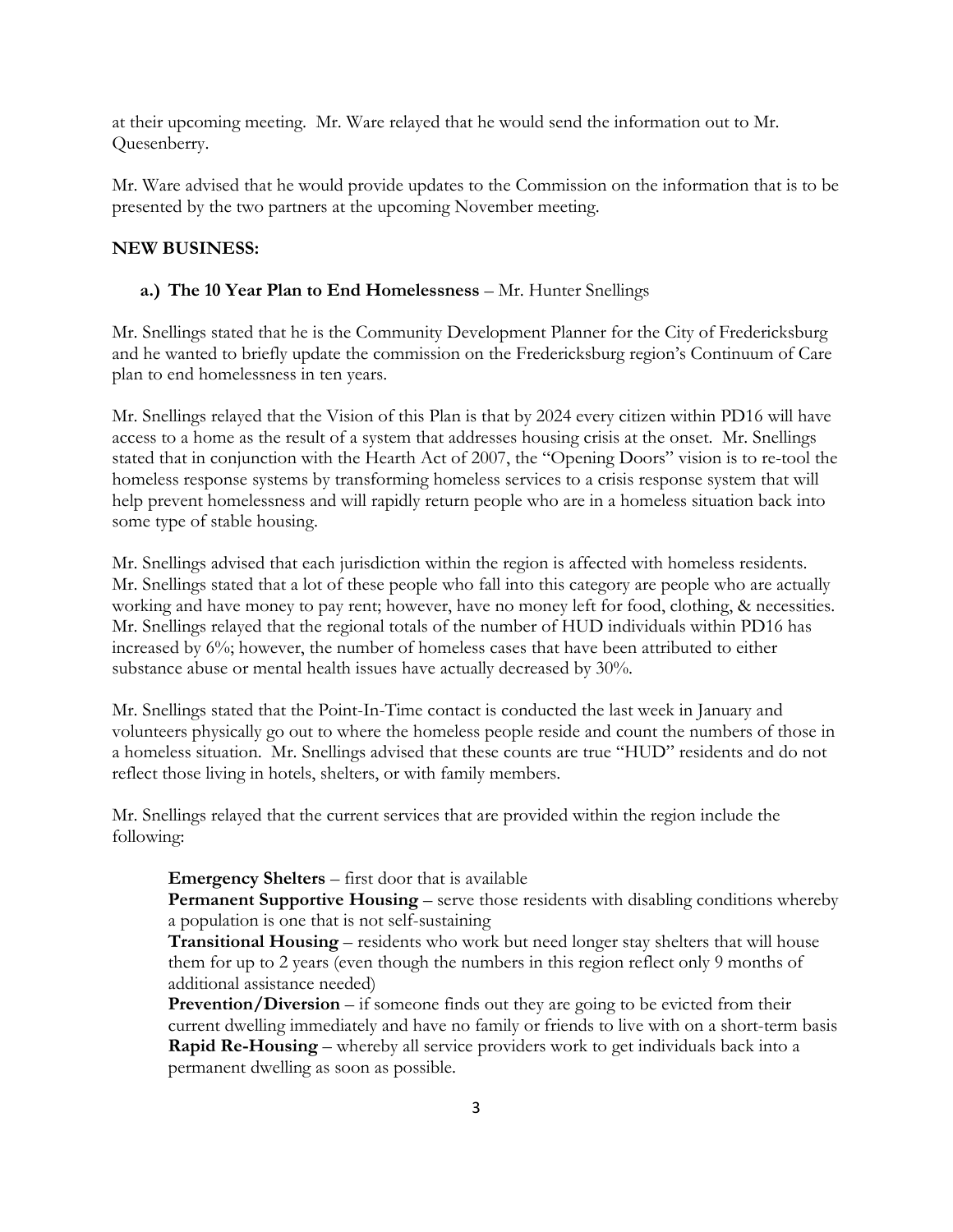at their upcoming meeting. Mr. Ware relayed that he would send the information out to Mr. Quesenberry.

Mr. Ware advised that he would provide updates to the Commission on the information that is to be presented by the two partners at the upcoming November meeting.

## **NEW BUSINESS:**

## **a.) The 10 Year Plan to End Homelessness** – Mr. Hunter Snellings

Mr. Snellings stated that he is the Community Development Planner for the City of Fredericksburg and he wanted to briefly update the commission on the Fredericksburg region's Continuum of Care plan to end homelessness in ten years.

Mr. Snellings relayed that the Vision of this Plan is that by 2024 every citizen within PD16 will have access to a home as the result of a system that addresses housing crisis at the onset. Mr. Snellings stated that in conjunction with the Hearth Act of 2007, the "Opening Doors" vision is to re-tool the homeless response systems by transforming homeless services to a crisis response system that will help prevent homelessness and will rapidly return people who are in a homeless situation back into some type of stable housing.

Mr. Snellings advised that each jurisdiction within the region is affected with homeless residents. Mr. Snellings stated that a lot of these people who fall into this category are people who are actually working and have money to pay rent; however, have no money left for food, clothing, & necessities. Mr. Snellings relayed that the regional totals of the number of HUD individuals within PD16 has increased by 6%; however, the number of homeless cases that have been attributed to either substance abuse or mental health issues have actually decreased by 30%.

Mr. Snellings stated that the Point-In-Time contact is conducted the last week in January and volunteers physically go out to where the homeless people reside and count the numbers of those in a homeless situation. Mr. Snellings advised that these counts are true "HUD" residents and do not reflect those living in hotels, shelters, or with family members.

Mr. Snellings relayed that the current services that are provided within the region include the following:

## **Emergency Shelters** – first door that is available

**Permanent Supportive Housing** – serve those residents with disabling conditions whereby a population is one that is not self-sustaining

**Transitional Housing** – residents who work but need longer stay shelters that will house them for up to 2 years (even though the numbers in this region reflect only 9 months of additional assistance needed)

**Prevention/Diversion** – if someone finds out they are going to be evicted from their current dwelling immediately and have no family or friends to live with on a short-term basis **Rapid Re-Housing** – whereby all service providers work to get individuals back into a permanent dwelling as soon as possible.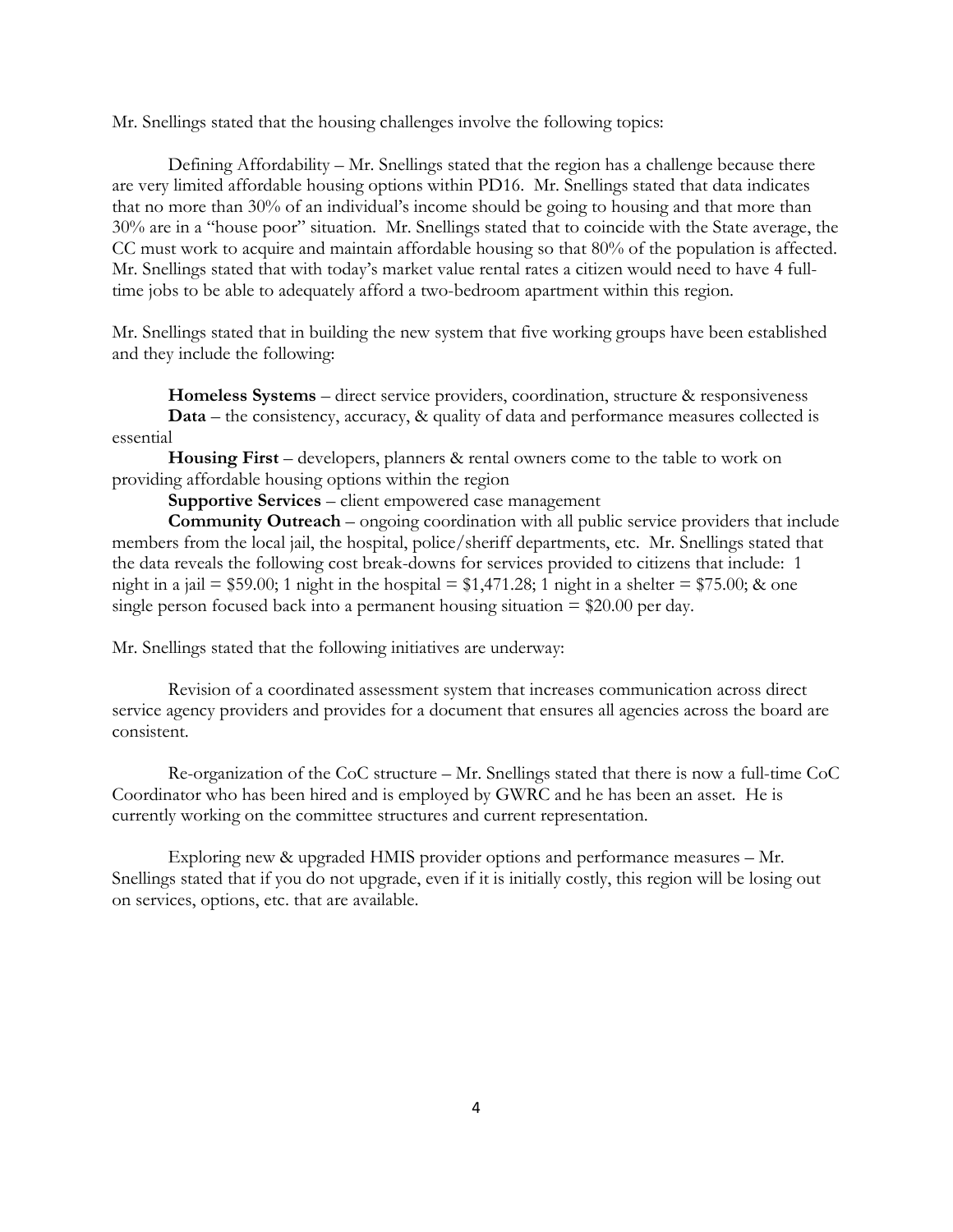Mr. Snellings stated that the housing challenges involve the following topics:

Defining Affordability – Mr. Snellings stated that the region has a challenge because there are very limited affordable housing options within PD16. Mr. Snellings stated that data indicates that no more than 30% of an individual's income should be going to housing and that more than 30% are in a "house poor" situation. Mr. Snellings stated that to coincide with the State average, the CC must work to acquire and maintain affordable housing so that 80% of the population is affected. Mr. Snellings stated that with today's market value rental rates a citizen would need to have 4 fulltime jobs to be able to adequately afford a two-bedroom apartment within this region.

Mr. Snellings stated that in building the new system that five working groups have been established and they include the following:

**Homeless Systems** – direct service providers, coordination, structure & responsiveness **Data** – the consistency, accuracy, & quality of data and performance measures collected is essential

**Housing First** – developers, planners & rental owners come to the table to work on providing affordable housing options within the region

**Supportive Services** – client empowered case management

**Community Outreach** – ongoing coordination with all public service providers that include members from the local jail, the hospital, police/sheriff departments, etc. Mr. Snellings stated that the data reveals the following cost break-downs for services provided to citizens that include: 1 night in a jail = \$59.00; 1 night in the hospital =  $1,471.28$ ; 1 night in a shelter = \$75.00; & one single person focused back into a permanent housing situation  $= $20.00$  per day.

Mr. Snellings stated that the following initiatives are underway:

Revision of a coordinated assessment system that increases communication across direct service agency providers and provides for a document that ensures all agencies across the board are consistent.

Re-organization of the CoC structure – Mr. Snellings stated that there is now a full-time CoC Coordinator who has been hired and is employed by GWRC and he has been an asset. He is currently working on the committee structures and current representation.

Exploring new & upgraded HMIS provider options and performance measures – Mr. Snellings stated that if you do not upgrade, even if it is initially costly, this region will be losing out on services, options, etc. that are available.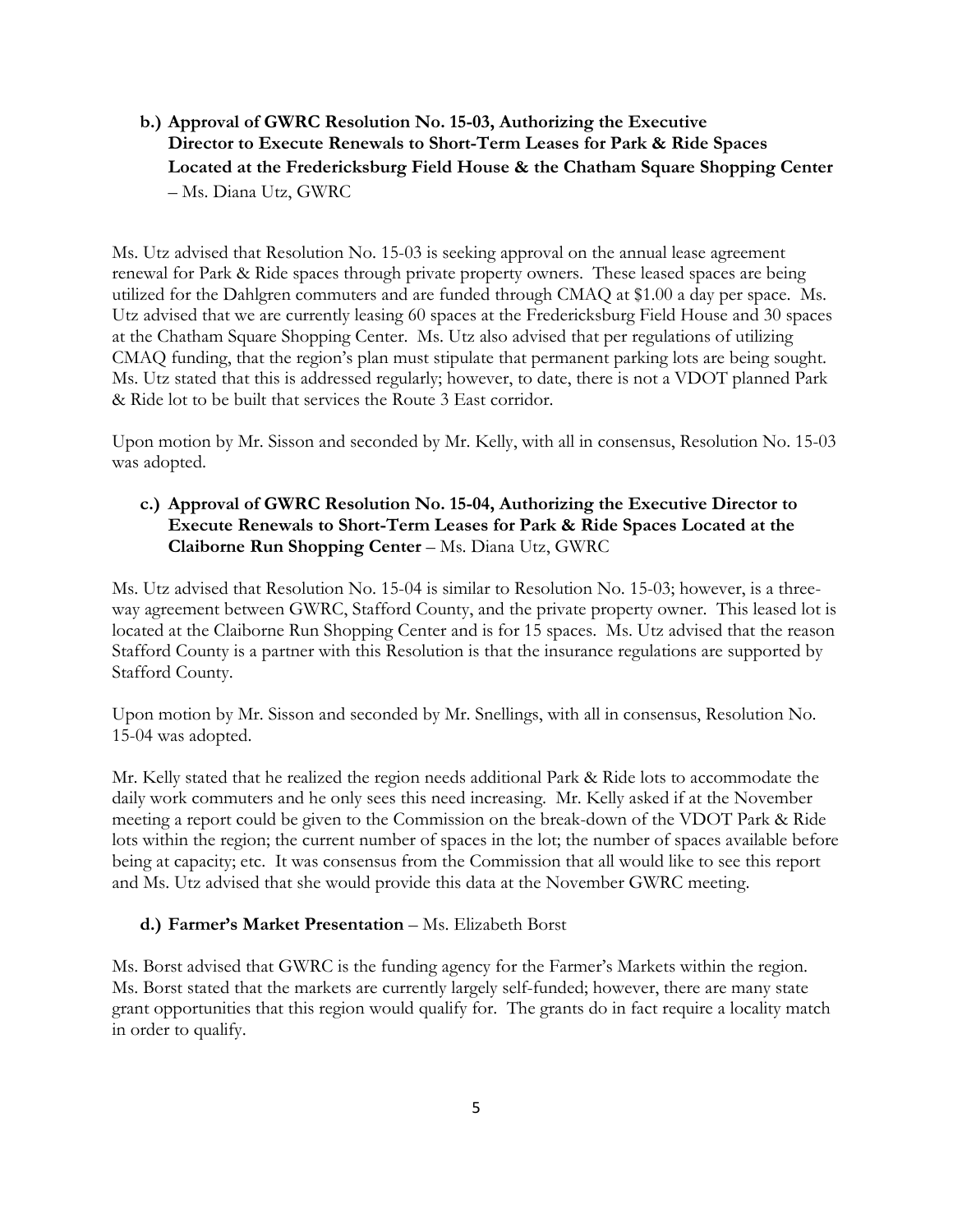**b.) Approval of GWRC Resolution No. 15-03, Authorizing the Executive Director to Execute Renewals to Short-Term Leases for Park & Ride Spaces Located at the Fredericksburg Field House & the Chatham Square Shopping Center** – Ms. Diana Utz, GWRC

Ms. Utz advised that Resolution No. 15-03 is seeking approval on the annual lease agreement renewal for Park & Ride spaces through private property owners. These leased spaces are being utilized for the Dahlgren commuters and are funded through CMAQ at \$1.00 a day per space. Ms. Utz advised that we are currently leasing 60 spaces at the Fredericksburg Field House and 30 spaces at the Chatham Square Shopping Center. Ms. Utz also advised that per regulations of utilizing CMAQ funding, that the region's plan must stipulate that permanent parking lots are being sought. Ms. Utz stated that this is addressed regularly; however, to date, there is not a VDOT planned Park & Ride lot to be built that services the Route 3 East corridor.

Upon motion by Mr. Sisson and seconded by Mr. Kelly, with all in consensus, Resolution No. 15-03 was adopted.

# **c.) Approval of GWRC Resolution No. 15-04, Authorizing the Executive Director to Execute Renewals to Short-Term Leases for Park & Ride Spaces Located at the Claiborne Run Shopping Center** – Ms. Diana Utz, GWRC

Ms. Utz advised that Resolution No. 15-04 is similar to Resolution No. 15-03; however, is a threeway agreement between GWRC, Stafford County, and the private property owner. This leased lot is located at the Claiborne Run Shopping Center and is for 15 spaces. Ms. Utz advised that the reason Stafford County is a partner with this Resolution is that the insurance regulations are supported by Stafford County.

Upon motion by Mr. Sisson and seconded by Mr. Snellings, with all in consensus, Resolution No. 15-04 was adopted.

Mr. Kelly stated that he realized the region needs additional Park & Ride lots to accommodate the daily work commuters and he only sees this need increasing. Mr. Kelly asked if at the November meeting a report could be given to the Commission on the break-down of the VDOT Park & Ride lots within the region; the current number of spaces in the lot; the number of spaces available before being at capacity; etc. It was consensus from the Commission that all would like to see this report and Ms. Utz advised that she would provide this data at the November GWRC meeting.

## **d.) Farmer's Market Presentation** – Ms. Elizabeth Borst

Ms. Borst advised that GWRC is the funding agency for the Farmer's Markets within the region. Ms. Borst stated that the markets are currently largely self-funded; however, there are many state grant opportunities that this region would qualify for. The grants do in fact require a locality match in order to qualify.